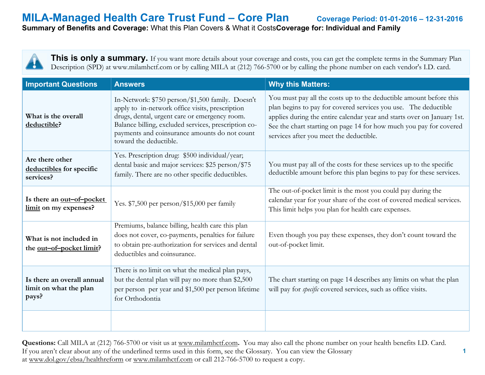**1**

**Summary of Benefits and Coverage:** What this Plan Covers & What it Costs**Coverage for: Individual and Family**

**This is only a summary.** If you want more details about your coverage and costs, you can get the complete terms in the Summary Plan Description (SPD) at www.milamhctf.com or by calling MILA at (212) 766-5700 or by calling the phone number on each vendor's I.D. card.

| <b>Important Questions</b>                                    | <b>Answers</b>                                                                                                                                                                                                                                                                          | <b>Why this Matters:</b>                                                                                                                                                                                                                                                                                                          |
|---------------------------------------------------------------|-----------------------------------------------------------------------------------------------------------------------------------------------------------------------------------------------------------------------------------------------------------------------------------------|-----------------------------------------------------------------------------------------------------------------------------------------------------------------------------------------------------------------------------------------------------------------------------------------------------------------------------------|
| What is the overall<br>deductible?                            | In-Network: \$750 person/\$1,500 family. Doesn't<br>apply to in-network office visits, prescription<br>drugs, dental, urgent care or emergency room.<br>Balance billing, excluded services, prescription co-<br>payments and coinsurance amounts do not count<br>toward the deductible. | You must pay all the costs up to the deductible amount before this<br>plan begins to pay for covered services you use. The deductible<br>applies during the entire calendar year and starts over on January 1st.<br>See the chart starting on page 14 for how much you pay for covered<br>services after you meet the deductible. |
| Are there other<br>deductibles for specific<br>services?      | Yes. Prescription drug: \$500 individual/year;<br>dental basic and major services: \$25 person/\$75<br>family. There are no other specific deductibles.                                                                                                                                 | You must pay all of the costs for these services up to the specific<br>deductible amount before this plan begins to pay for these services.                                                                                                                                                                                       |
| Is there an <u>out-of-pocket</u><br>limit on my expenses?     | Yes. $$7,500$ per person/\$15,000 per family                                                                                                                                                                                                                                            | The out-of-pocket limit is the most you could pay during the<br>calendar year for your share of the cost of covered medical services.<br>This limit helps you plan for health care expenses.                                                                                                                                      |
| What is not included in<br>the <u>out-of-pocket limit</u> ?   | Premiums, balance billing, health care this plan<br>does not cover, co-payments, penalties for failure<br>to obtain pre-authorization for services and dental<br>deductibles and coinsurance.                                                                                           | Even though you pay these expenses, they don't count toward the<br>out-of-pocket limit.                                                                                                                                                                                                                                           |
| Is there an overall annual<br>limit on what the plan<br>pays? | There is no limit on what the medical plan pays,<br>but the dental plan will pay no more than \$2,500<br>per person per year and \$1,500 per person lifetime<br>for Orthodontia                                                                                                         | The chart starting on page 14 describes any limits on what the plan<br>will pay for <i>specific</i> covered services, such as office visits.                                                                                                                                                                                      |
|                                                               |                                                                                                                                                                                                                                                                                         |                                                                                                                                                                                                                                                                                                                                   |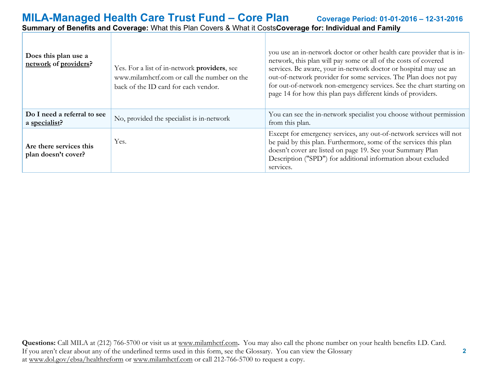| Does this plan use a<br>network of providers?  | Yes. For a list of in-network providers, see<br>www.milamhctf.com or call the number on the<br>back of the ID card for each vendor. | you use an in-network doctor or other health care provider that is in-<br>network, this plan will pay some or all of the costs of covered<br>services. Be aware, your in-network doctor or hospital may use an<br>out-of-network provider for some services. The Plan does not pay<br>for out-of-network non-emergency services. See the chart starting on<br>page 14 for how this plan pays different kinds of providers. |
|------------------------------------------------|-------------------------------------------------------------------------------------------------------------------------------------|----------------------------------------------------------------------------------------------------------------------------------------------------------------------------------------------------------------------------------------------------------------------------------------------------------------------------------------------------------------------------------------------------------------------------|
| Do I need a referral to see<br>a specialist?   | No, provided the specialist is in-network                                                                                           | You can see the in-network specialist you choose without permission<br>from this plan.                                                                                                                                                                                                                                                                                                                                     |
| Are there services this<br>plan doesn't cover? | Yes.                                                                                                                                | Except for emergency services, any out-of-network services will not<br>be paid by this plan. Furthermore, some of the services this plan<br>doesn't cover are listed on page 19. See your Summary Plan<br>Description ("SPD") for additional information about excluded<br>services.                                                                                                                                       |

 **2**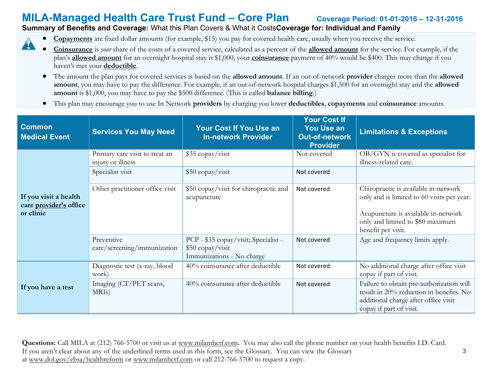### **Summary of Benefits and Coverage:** What this Plan Covers & What it Costs**Coverage for: Individual and Family**

- **Copayments** are fixed dollar amounts (for example, \$15) you pay for covered health care, usually when you receive the service. A
	- **Coinsurance** is *your* share of the costs of a covered service, calculated as a percent of the **allowed amount** for the service. For example, if the plan's **allowed amount** for an overnight hospital stay is \$1,000, your **coinsurance** payment of 40% would be \$400. This may change if you haven't met your **deductible**.
		- The amount the plan pays for covered services is based on the **allowed amount**. If an out-of-network **provider** charges more than the **allowed amount**, you may have to pay the difference. For example, if an out-of-network hospital charges \$1,500 for an overnight stay and the **allowed amount** is \$1,000, you may have to pay the \$500 difference. (This is called **balance billing**.)
		- This plan may encourage you to use In Network **providers** by charging you lower **deductibles**, **copayments** and **coinsurance** amounts.

| <b>Common</b><br><b>Medical Event</b>                        | <b>Services You May Need</b>                        | <b>Your Cost If You Use an</b><br><b>In-network Provider</b>                          | <b>Your Cost If</b><br><b>You Use an</b><br><b>Out-of-network</b><br><b>Provider</b> | <b>Limitations &amp; Exceptions</b>                                                                                                                                                 |
|--------------------------------------------------------------|-----------------------------------------------------|---------------------------------------------------------------------------------------|--------------------------------------------------------------------------------------|-------------------------------------------------------------------------------------------------------------------------------------------------------------------------------------|
|                                                              | Primary care visit to treat an<br>injury or illness | \$35 copay/visit                                                                      | Not covered                                                                          | $OB/GYN$ is covered as specialist for<br>illness-related care.                                                                                                                      |
|                                                              | Specialist visit                                    | \$50 copay/visit                                                                      | Not covered                                                                          |                                                                                                                                                                                     |
| If you visit a health<br>care provider's office<br>or clinic | Other practitioner office visit                     | \$50 copay/visit for chiropractic and<br>acupuncture                                  | Not covered                                                                          | Chiropractic is available in-network<br>only and is limited to 60 visits per year.<br>Acupuncture is available in-network<br>only and limited to \$80 maximum<br>benefit per visit. |
|                                                              | Preventive<br>care/screening/immunization           | PCP - \$35 copay/visit; Specialist -<br>\$50 copay/visit<br>Immunizations - No charge | Not covered                                                                          | Age and frequency limits apply.                                                                                                                                                     |
|                                                              | Diagnostic test (x-ray, blood<br>work)              | 40% coinsurance after deductible                                                      | Not covered                                                                          | No additional charge after office visit<br>copay if part of visit.                                                                                                                  |
| If you have a test                                           | Imaging (CT/PET scans,<br>MRI <sub>s</sub> )        | 40% coinsurance after deductible                                                      | Not covered                                                                          | Failure to obtain pre-authorization will<br>result in 20% reduction in benefits. No<br>additional charge after office visit<br>copay if part of visit.                              |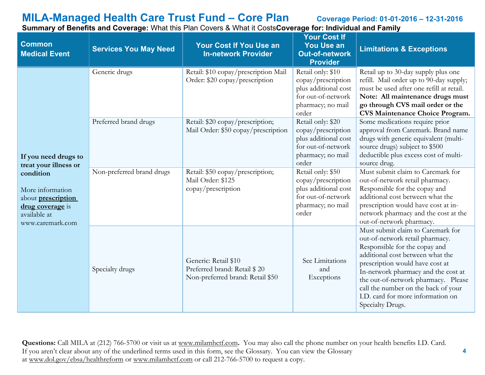**4**

| <b>Common</b><br><b>Medical Event</b>                                                                              | <b>Services You May Need</b> | <b>Your Cost If You Use an</b><br><b>In-network Provider</b>                             | <b>Your Cost If</b><br><b>You Use an</b><br><b>Out-of-network</b><br><b>Provider</b>                                | <b>Limitations &amp; Exceptions</b>                                                                                                                                                                                                                                                                                                                        |
|--------------------------------------------------------------------------------------------------------------------|------------------------------|------------------------------------------------------------------------------------------|---------------------------------------------------------------------------------------------------------------------|------------------------------------------------------------------------------------------------------------------------------------------------------------------------------------------------------------------------------------------------------------------------------------------------------------------------------------------------------------|
|                                                                                                                    | Generic drugs                | Retail: \$10 copay/prescription Mail<br>Order: \$20 copay/prescription                   | Retail only: \$10<br>copay/prescription<br>plus additional cost<br>for out-of-network<br>pharmacy; no mail<br>order | Retail up to 30-day supply plus one<br>refill. Mail order up to 90-day supply;<br>must be used after one refill at retail.<br>Note: All maintenance drugs must<br>go through CVS mail order or the<br><b>CVS Maintenance Choice Program.</b>                                                                                                               |
| If you need drugs to<br>treat your illness or                                                                      | Preferred brand drugs        | Retail: \$20 copay/prescription;<br>Mail Order: \$50 copay/prescription                  | Retail only: \$20<br>copay/prescription<br>plus additional cost<br>for out-of-network<br>pharmacy; no mail<br>order | Some medications require prior<br>approval from Caremark. Brand name<br>drugs with generic equivalent (multi-<br>source drugs) subject to \$500<br>deductible plus excess cost of multi-<br>source drug.                                                                                                                                                   |
| condition<br>More information<br>about <b>prescription</b><br>drug coverage is<br>available at<br>www.caremark.com | Non-preferred brand drugs    | Retail: \$50 copay/prescription;<br>Mail Order: \$125<br>copay/prescription              | Retail only: \$50<br>copay/prescription<br>plus additional cost<br>for out-of-network<br>pharmacy; no mail<br>order | Must submit claim to Caremark for<br>out-of-network retail pharmacy.<br>Responsible for the copay and<br>additional cost between what the<br>prescription would have cost at in-<br>network pharmacy and the cost at the<br>out-of-network pharmacy.                                                                                                       |
|                                                                                                                    | Specialty drugs              | Generic: Retail \$10<br>Preferred brand: Retail \$20<br>Non-preferred brand: Retail \$50 | See Limitations<br>and<br>Exceptions                                                                                | Must submit claim to Caremark for<br>out-of-network retail pharmacy.<br>Responsible for the copay and<br>additional cost between what the<br>prescription would have cost at<br>In-network pharmacy and the cost at<br>the out-of-network pharmacy. Please<br>call the number on the back of your<br>I.D. card for more information on<br>Specialty Drugs. |

**Summary of Benefits and Coverage:** What this Plan Covers & What it Costs**Coverage for: Individual and Family**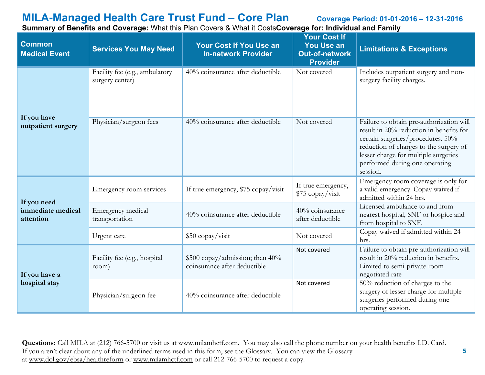**Summary of Benefits and Coverage:** What this Plan Covers & What it Costs**Coverage for: Individual and Family**

| <b>Common</b><br><b>Medical Event</b>         | <b>Services You May Need</b>                      | <b>Your Cost If You Use an</b><br><b>In-network Provider</b>    | <b>Your Cost If</b><br><b>You Use an</b><br><b>Out-of-network</b><br><b>Provider</b> | <b>Limitations &amp; Exceptions</b>                                                                                                                                                                                                                      |
|-----------------------------------------------|---------------------------------------------------|-----------------------------------------------------------------|--------------------------------------------------------------------------------------|----------------------------------------------------------------------------------------------------------------------------------------------------------------------------------------------------------------------------------------------------------|
| If you have                                   | Facility fee (e.g., ambulatory<br>surgery center) | 40% coinsurance after deductible                                | Not covered                                                                          | Includes outpatient surgery and non-<br>surgery facility charges.                                                                                                                                                                                        |
| outpatient surgery                            | Physician/surgeon fees                            | 40% coinsurance after deductible                                | Not covered                                                                          | Failure to obtain pre-authorization will<br>result in 20% reduction in benefits for<br>certain surgeries/procedures. 50%<br>reduction of charges to the surgery of<br>lesser charge for multiple surgeries<br>performed during one operating<br>session. |
| If you need<br>immediate medical<br>attention | Emergency room services                           | If true emergency, \$75 copay/visit                             | If true emergency,<br>\$75 copay/visit                                               | Emergency room coverage is only for<br>a valid emergency. Copay waived if<br>admitted within 24 hrs.                                                                                                                                                     |
|                                               | Emergency medical<br>transportation               | 40% coinsurance after deductible                                | 40% coinsurance<br>after deductible                                                  | Licensed ambulance to and from<br>nearest hospital, SNF or hospice and<br>from hospital to SNF.                                                                                                                                                          |
|                                               | Urgent care                                       | \$50 copay/visit                                                | Not covered                                                                          | Copay waived if admitted within 24<br>hrs.                                                                                                                                                                                                               |
| If you have a                                 | Facility fee (e.g., hospital<br>room)             | \$500 copay/admission; then 40%<br>coinsurance after deductible | Not covered                                                                          | Failure to obtain pre-authorization will<br>result in 20% reduction in benefits.<br>Limited to semi-private room<br>negotiated rate                                                                                                                      |
| hospital stay                                 | Physician/surgeon fee                             | 40% coinsurance after deductible                                | Not covered                                                                          | 50% reduction of charges to the<br>surgery of lesser charge for multiple<br>surgeries performed during one<br>operating session.                                                                                                                         |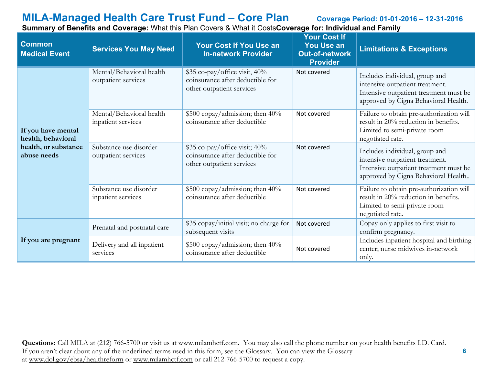**Common Medical Event Services You May Need Your Cost If You Use an In-network Provider Your Cost If You Use an Out-of-network Provider Limitations & Exceptions If you have mental health, behavioral health, or substance abuse needs** Mental/Behavioral health outpatient services \$35 co-pay/office visit, 40% coinsurance after deductible for other outpatient services Not covered Includes individual, group and intensive outpatient treatment. Intensive outpatient treatment must be approved by Cigna Behavioral Health. Mental/Behavioral health inpatient services \$500 copay/admission; then 40% coinsurance after deductible Not covered Failure to obtain pre-authorization will result in 20% reduction in benefits. Limited to semi-private room negotiated rate. Substance use disorder outpatient services \$35 co-pay/office visit; 40% coinsurance after deductible for other outpatient services Not covered Includes individual, group and intensive outpatient treatment. Intensive outpatient treatment must be approved by Cigna Behavioral Health.. Substance use disorder inpatient services \$500 copay/admission; then 40% coinsurance after deductible Not covered Failure to obtain pre-authorization will result in 20% reduction in benefits. Limited to semi-private room negotiated rate. **If you are pregnant** Prenatal and postnatal care \$35 copay/initial visit; no charge for subsequent visits Not covered Copay only applies to first visit to confirm pregnancy. Delivery and all inpatient services \$500 copay/admission; then 40%  $\begin{array}{c|c}\n\text{good copay/} \text{admissible} \\
\text{consurance after deductible}\n\end{array}$  Not covered Includes inpatient hospital and birthing center; nurse midwives in-network

**Summary of Benefits and Coverage:** What this Plan Covers & What it Costs**Coverage for: Individual and Family**

**Questions:** Call MILA at (212) 766-5700 or visit us at [www.milamhctf.com](http://www.milamhctf.com/)**.** You may also call the phone number on your health benefits I.D. Card. If you aren't clear about any of the underlined terms used in this form, see the Glossary. You can view the Glossary at [www.dol.gov/ebsa/healthreform](http://www.dol.gov/ebsa/healthreform) or [www.milamhctf.com](http://www.milamhctf.com/) or call 212-766-5700 to request a copy.

only.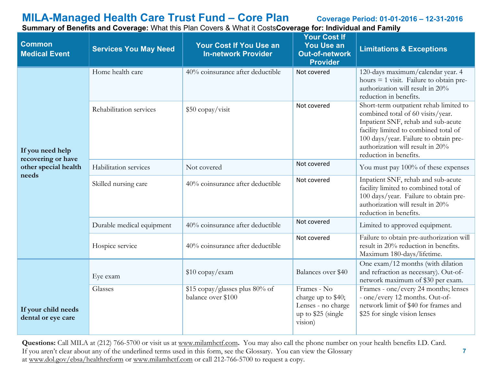**7**

**Summary of Benefits and Coverage:** What this Plan Covers & What it Costs**Coverage for: Individual and Family**

| <b>Common</b><br><b>Medical Event</b>     | <b>Services You May Need</b> | <b>Your Cost If You Use an</b><br><b>In-network Provider</b> | <b>Your Cost If</b><br><b>You Use an</b><br><b>Out-of-network</b><br><b>Provider</b>     | <b>Limitations &amp; Exceptions</b>                                                                                                                                                                                                                               |
|-------------------------------------------|------------------------------|--------------------------------------------------------------|------------------------------------------------------------------------------------------|-------------------------------------------------------------------------------------------------------------------------------------------------------------------------------------------------------------------------------------------------------------------|
|                                           | Home health care             | 40% coinsurance after deductible                             | Not covered                                                                              | 120-days maximum/calendar year. 4<br>hours $= 1$ visit. Failure to obtain pre-<br>authorization will result in 20%<br>reduction in benefits.                                                                                                                      |
| If you need help<br>recovering or have    | Rehabilitation services      | \$50 copay/visit                                             | Not covered                                                                              | Short-term outpatient rehab limited to<br>combined total of 60 visits/year.<br>Inpatient SNF, rehab and sub-acute<br>facility limited to combined total of<br>100 days/year. Failure to obtain pre-<br>authorization will result in 20%<br>reduction in benefits. |
| other special health                      | Habilitation services        | Not covered                                                  | Not covered                                                                              | You must pay 100% of these expenses                                                                                                                                                                                                                               |
| needs                                     | Skilled nursing care         | 40% coinsurance after deductible                             | Not covered                                                                              | Inpatient SNF, rehab and sub-acute<br>facility limited to combined total of<br>100 days/year. Failure to obtain pre-<br>authorization will result in 20%<br>reduction in benefits.                                                                                |
|                                           | Durable medical equipment    | 40% coinsurance after deductible                             | Not covered                                                                              | Limited to approved equipment.                                                                                                                                                                                                                                    |
|                                           | Hospice service              | 40% coinsurance after deductible                             | Not covered                                                                              | Failure to obtain pre-authorization will<br>result in 20% reduction in benefits.<br>Maximum 180-days/lifetime.                                                                                                                                                    |
|                                           | Eye exam                     | \$10 copay/exam                                              | Balances over \$40                                                                       | One exam/12 months (with dilation<br>and refraction as necessary). Out-of-<br>network maximum of \$30 per exam.                                                                                                                                                   |
| If your child needs<br>dental or eye care | Glasses                      | \$15 copay/glasses plus 80% of<br>balance over \$100         | Frames - No<br>charge up to \$40;<br>Lenses - no charge<br>up to \$25 (single<br>vision) | Frames - one/every 24 months; lenses<br>- one/every 12 months. Out-of-<br>network limit of \$40 for frames and<br>\$25 for single vision lenses                                                                                                                   |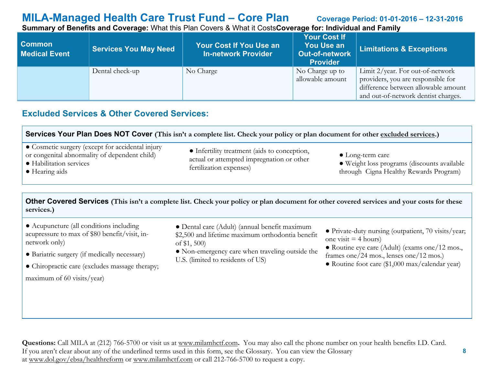**Summary of Benefits and Coverage:** What this Plan Covers & What it Costs**Coverage for: Individual and Family**

| <b>Common</b><br><b>Medical Event</b> | <b>Services You May Need</b> | Your Cost If You Use an<br><b>In-network Provider</b> | <b>Your Cost If</b><br><b>You Use an</b><br>Out-of-network<br><b>Provider</b> | <b>Limitations &amp; Exceptions</b>                                                                                                                     |
|---------------------------------------|------------------------------|-------------------------------------------------------|-------------------------------------------------------------------------------|---------------------------------------------------------------------------------------------------------------------------------------------------------|
|                                       | Dental check-up              | No Charge                                             | No Charge up to<br>allowable amount                                           | Limit $2$ /year. For out-of-network<br>providers, you are responsible for<br>difference between allowable amount<br>and out-of-network dentist charges. |

## **Excluded Services & Other Covered Services:**

| Services Your Plan Does NOT Cover (This isn't a complete list. Check your policy or plan document for other excluded services.)                        |                                                                                                                      |                                                                                                                   |  |
|--------------------------------------------------------------------------------------------------------------------------------------------------------|----------------------------------------------------------------------------------------------------------------------|-------------------------------------------------------------------------------------------------------------------|--|
| • Cosmetic surgery (except for accidental injury<br>or congenital abnormality of dependent child)<br>• Habilitation services<br>$\bullet$ Hearing aids | • Infertility treatment (aids to conception,<br>actual or attempted impregnation or other<br>fertilization expenses) | $\bullet$ Long-term care<br>• Weight loss programs (discounts available<br>through Cigna Healthy Rewards Program) |  |

**Other Covered Services (This isn't a complete list. Check your policy or plan document for other covered services and your costs for these services.)**

- Acupuncture (all conditions including acupressure to max of \$80 benefit/visit, innetwork only)
- Bariatric surgery (if medically necessary)
- Chiropractic care (excludes massage therapy; maximum of 60 visits/year)
- Dental care (Adult) (annual benefit maximum \$2,500 and lifetime maximum orthodontia benefit of \$1, 500)
- Non-emergency care when traveling outside the U.S. (limited to residents of US)
- Private-duty nursing (outpatient, 70 visits/year; one visit  $=$  4 hours)
- Routine eye care (Adult) (exams one/12 mos., frames one/24 mos., lenses one/12 mos.)
- Routine foot care (\$1,000 max/calendar year)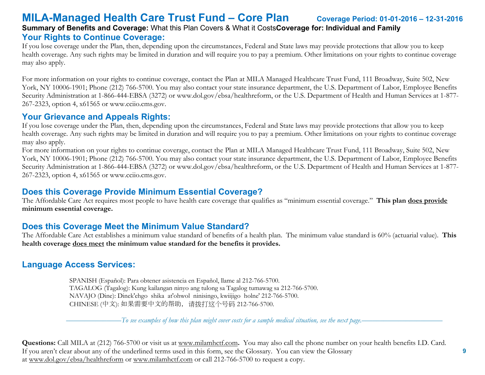## **MILA-Managed Health Care Trust Fund – Core Plan Coverage Period: 01-01-2016 – 12-31-2016 Summary of Benefits and Coverage:** What this Plan Covers & What it Costs**Coverage for: Individual and Family Your Rights to Continue Coverage:**

If you lose coverage under the Plan, then, depending upon the circumstances, Federal and State laws may provide protections that allow you to keep health coverage. Any such rights may be limited in duration and will require you to pay a premium. Other limitations on your rights to continue coverage may also apply.

For more information on your rights to continue coverage, contact the Plan at MILA Managed Healthcare Trust Fund, 111 Broadway, Suite 502, New York, NY 10006-1901; Phone (212) 766-5700. You may also contact your state insurance department, the U.S. Department of Labor, Employee Benefits Security Administration at 1-866-444-EBSA (3272) or www.dol.gov/ebsa/healthreform, or the U.S. Department of Health and Human Services at 1-877- 267-2323, option 4, x61565 or www.cciio.cms.gov.

## **Your Grievance and Appeals Rights:**

If you lose coverage under the Plan, then, depending upon the circumstances, Federal and State laws may provide protections that allow you to keep health coverage. Any such rights may be limited in duration and will require you to pay a premium. Other limitations on your rights to continue coverage may also apply.

For more information on your rights to continue coverage, contact the Plan at MILA Managed Healthcare Trust Fund, 111 Broadway, Suite 502, New York, NY 10006-1901; Phone (212) 766-5700. You may also contact your state insurance department, the U.S. Department of Labor, Employee Benefits Security Administration at 1-866-444-EBSA (3272) or www.dol.gov/ebsa/healthreform, or the U.S. Department of Health and Human Services at 1-877- 267-2323, option 4, x61565 or www.cciio.cms.gov.

## **Does this Coverage Provide Minimum Essential Coverage?**

The Affordable Care Act requires most people to have health care coverage that qualifies as "minimum essential coverage." **This plan does provide minimum essential coverage.** 

## **Does this Coverage Meet the Minimum Value Standard?**

The Affordable Care Act establishes a minimum value standard of benefits of a health plan. The minimum value standard is 60% (actuarial value). **This health coverage does meet the minimum value standard for the benefits it provides.** 

## **Language Access Services:**

 SPANISH (Español): Para obtener asistencia en Español, llame al 212-766-5700. TAGALOG (Tagalog): Kung kailangan ninyo ang tulong sa Tagalog tumawag sa 212-766-5700. NAVAJO (Dine): Dinek'ehgo shika at'ohwol ninisingo, kwiijigo holne' 212-766-5700. CHINESE (中文): 如果需要中文的帮助,请拨打这个号码 212-766-5700.

–––––––––––––––*To see examples of how this plan might cover costs for a sample medical situation, see the next page.–––––––––––*–––––––––––

**Questions:** Call MILA at (212) 766-5700 or visit us at [www.milamhctf.com](http://www.milamhctf.com/)**.** You may also call the phone number on your health benefits I.D. Card. If you aren't clear about any of the underlined terms used in this form, see the Glossary. You can view the Glossary at [www.dol.gov/ebsa/healthreform](http://www.dol.gov/ebsa/healthreform) or [www.milamhctf.com](http://www.milamhctf.com/) or call 212-766-5700 to request a copy.

 **9**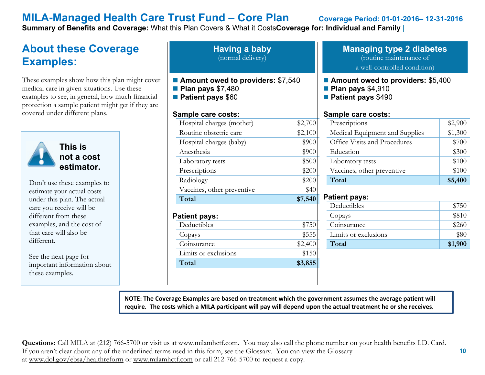**Summary of Benefits and Coverage:** What this Plan Covers & What it Costs**Coverage for: Individual and Family** |

## **About these Coverage Examples:**

These examples show how this plan might cover medical care in given situations. Use these examples to see, in general, how much financial protection a sample patient might get if they are covered under different plans.



**not a cost estimator.** 

Don't use these examples to estimate your actual costs under this plan. The actual care you receive will be different from these examples, and the cost of that care will also be different.

See the next page for important information about these examples.

**Having a baby** (normal delivery)

- Amount owed to providers: \$7,540
- **Plan pays** \$7,480
- **Patient pays** \$60

### **Sample care costs:**

| Hospital charges (mother)           | \$2,700 |
|-------------------------------------|---------|
| Routine obstetric care              | \$2,100 |
| Hospital charges (baby)             | \$900   |
| Anesthesia                          | \$900   |
| Laboratory tests                    | \$500   |
| Prescriptions                       | \$200   |
| Radiology                           | \$200   |
| Vaccines, other preventive          | \$40    |
|                                     |         |
| Total                               | \$7,540 |
| <b>Patient pays:</b><br>Deductibles | \$750   |
| Copays                              | \$555   |
| Coinsurance                         | \$2,400 |
| Limits or exclusions                | \$150   |

### **Managing type 2 diabetes** (routine maintenance of a well-controlled condition)

■ Amount owed to providers: \$5,400

- **Plan pays** \$4,910
- **Patient pays** \$490

### **Sample care costs:**

| Prescriptions                  | \$2,900 |
|--------------------------------|---------|
| Medical Equipment and Supplies | \$1,300 |
| Office Visits and Procedures   | \$700   |
| Education                      | \$300   |
| Laboratory tests               | \$100   |
| Vaccines, other preventive     | \$100   |
| Total                          | \$5,400 |

### **Patient pays:**

| Deductibles          | \$750   |
|----------------------|---------|
| Copays               | \$810   |
| Coinsurance          | \$260   |
| Limits or exclusions | \$80    |
| Total                | \$1,900 |

**NOTE: The Coverage Examples are based on treatment which the government assumes the average patient will require. The costs which a MILA participant will pay will depend upon the actual treatment he or she receives.**